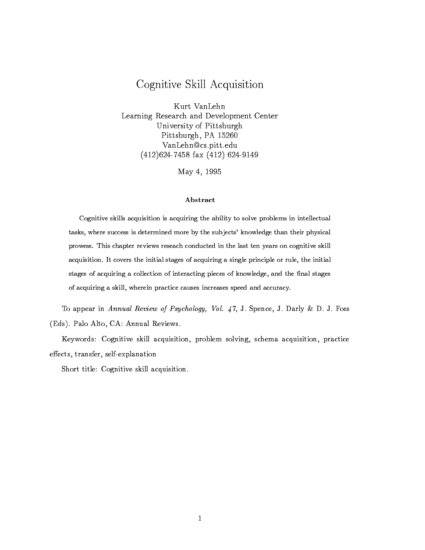# Cognitive Skill Acquisition

Kurt VanLehn Learning Research and Development Center University of Pittsburgh Pittsburgh- PA VanLehn@cs.pitt.edu 
 fax 

May -

### Abstract

Cognitive skills acquisition is acquiring the ability to solve problems in intellectualtasks- where success is determined more by the subjects knowledge than their physicalprowess This chapter reviews reseach conducted in the last ten years on cognitive skillacquisition It covers the initial stages of acquiring a single principle or rule- the initialstages of acquiring a collection of interacting pieces of knowledge- and the nal stagesof acquiring a skill-wherein practice causes increases speed and accuracy.

To appear in Annual Review of Psychology- Vol - J Spence- J Darly D J Foss Eds Palo Alto- CA Annual Reviews

Keywords Cognitive skill acquisition- problem solving- schema acquisition- practice eects-in-transfer-transfer-transfer-transfer-transfer-transfer-transfer-transfer-

Short title: Cognitive skill acquisition.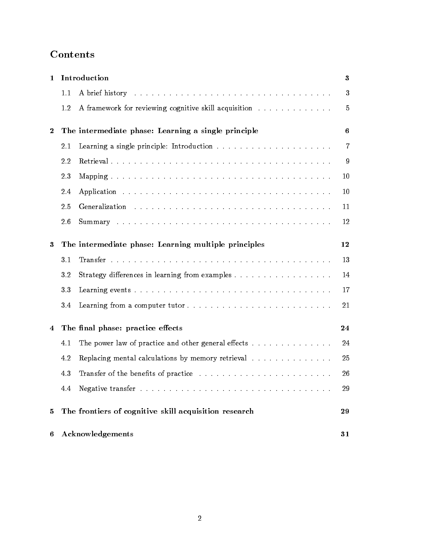# Contents

| $\mathbf 1$ | Introduction                                         |                                                              | 3  |
|-------------|------------------------------------------------------|--------------------------------------------------------------|----|
|             | 1.1                                                  |                                                              | 3  |
|             | 1.2                                                  | A framework for reviewing cognitive skill acquisition        | 5  |
| $\bf{2}$    |                                                      | The intermediate phase: Learning a single principle          | 6  |
|             | 2.1                                                  |                                                              | 7  |
|             | 2.2                                                  |                                                              | 9  |
|             | 2.3                                                  |                                                              | 10 |
|             | 2.4                                                  |                                                              | 10 |
|             | 2.5                                                  |                                                              | 11 |
|             | 2.6                                                  |                                                              | 12 |
| 3           | The intermediate phase: Learning multiple principles |                                                              | 12 |
|             | 3.1                                                  |                                                              | 13 |
|             | 3.2                                                  |                                                              | 14 |
|             | 3.3                                                  |                                                              | 17 |
|             | 3.4                                                  | Learning from a computer tutor                               | 21 |
| 4           |                                                      | The final phase: practice effects                            | 24 |
|             | 4.1                                                  | The power law of practice and other general effects $\ldots$ | 24 |
|             | 4.2                                                  | Replacing mental calculations by memory retrieval            | 25 |
|             | 4.3                                                  |                                                              | 26 |
|             | 4.4                                                  |                                                              | 29 |
| 5           |                                                      | The frontiers of cognitive skill acquisition research        | 29 |
| 6           |                                                      | Acknowledgements                                             | 31 |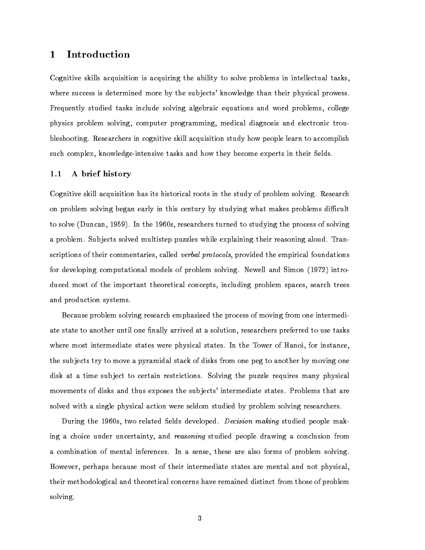### Introduction  $\mathbf{1}$

Cognitive skills acquisition is acquiring the ability to solve problems in intellectual taskswhere success is determined more by the subjects' knowledge than their physical prowess. Frequently studied tasks include solving algebraic equations and word problems- college physics problem solving- compatts programming- medical diagnosis and electronic trou bleshooting. Researchers in cognitive skill acquisition study how people learn to accomplish such complex- knowledge intensive tasks and how they become experts in their elds

#### $1.1$ A brief history

Cognitive skill acquisition has its historical roots in the study of problem solving. Research on problem solving began early in this century by studying what makes problems difficult to state is the second to study and the process of solving the process of solving the process of solving the p a problem. Subjects solved multistep puzzles while explaining their reasoning aloud. Transcriptions of their commentaries- called verbal protocols- provided the empirical foundations for developing computational models of problem solving Newell and Simon  intro adities most is the importance theoretical concepts-, including problems- problem spacesand production systems

Because problem solving research emphasized the process of moving from one intermedi att state to another until one nally arrived at a solution-preferred preferred to use tasks where most intermediate states with physical states In the Tower of Hanoi-Jose Indianally the subjects try to move a pyramidal stack of disks from one peg to another by moving one disk at a time subject to certain restrictions. Solving the puzzle requires many physical movements of disks and thus exposes the subjects' intermediate states. Problems that are solved with a single physical action were seldom studied by problem solving researchers

During the s- two related elds developed Decision making studied people mak ing a choice under uncertainty- and reasoning studied people drawing a conclusion from a combination of mental inferences In a sense-, inference in a second solving  $\sim$ However- perhaps because most of their intermediate states are mental and not physicaltheir methodological and theoretical concerns have remained distinct from those of problem solving.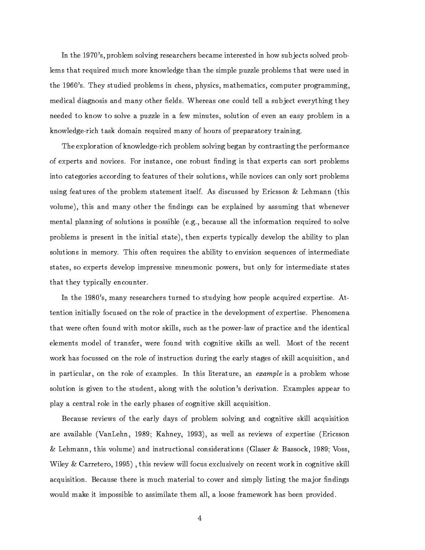In the s- problem solving researchers became interested in how sub jects solved prob lems that required much more knowledge than the simple puzzle problems that were used in s the studied problems in chess-in-computer problems in chess-in-computer problems in chess-in-computer problem medical diagnosis and many other fields. Whereas one could tell a subject everything they needed to know to solve a puzzle in a few minutes- solution of even an easy problem in a knowledge-rich task domain required many of hours of preparatory training.

The exploration of knowledge-rich problem solving began by contrasting the performance of experts and novices For instance- one robust nding is that experts can sort problems into categories according to features of their solutions- while novices can only sort problems using features of the problem statement itself. As discussed by Ericsson & Lehmann (this volume- this and many other the ndings can be explained by assuming that whenever mental planning of solutions is possible eg- because all the information required to solve problems is present in the initial state-planets typically develop the ability to planet solutions in memory. This often requires the ability to envision sequences of intermediate states- so experts develop impressive mneumonic powers- but only for intermediate states that they typically encounter

In the s- many researchers turned to studying how people acquired expertise At tention initially focused on the role of practice in the development of expertise. Phenomena that were often found with motor ships- and the identical practice and the identical of practice and the identity elements model of transfer- were found with cognitive skills as well Most of the recent work has focussed on the role of instruction during the early stages of skill acquisitionin particular- on the role of examples In this literature- an example is a problem whose solution is given to the student- along with the solutions derivation Examples appear to play a central role in the early phases of cognitive skill acquisition

Because reviews of the early days of problem solving and cognitive skill acquisition are available van Lehn- in die van die deur die deur die experience van die van die van die van die van die va over this volume and instruction considerations and instructional considerations of the second consideration of will focus exclusively will focus exclusively on recent will focus exclusively on recent will focus exclusively on recent will focus exclusively on recent will be a series of the contract of the contract of the contract of acquisition. Because there is much material to cover and simply listing the major findings wo make it impossible to assimilate them all-them all-them all-them all-them provided to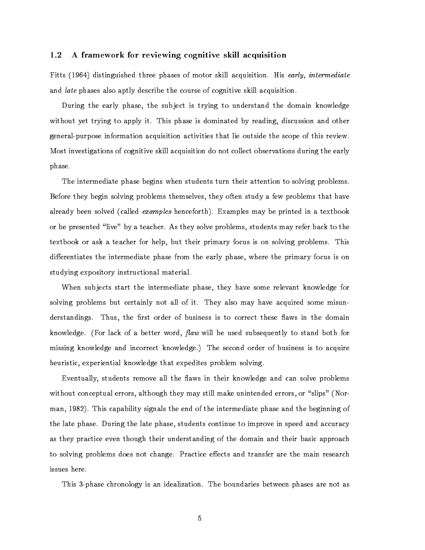#### $1.2$ A framework for reviewing cognitive skill acquisition

Fitts distinguished three phases of motor skill acquisition His early- intermediate and *late* phases also aptly describe the course of cognitive skill acquisition.

During the early phase- the sub ject is trying to understand the domain knowledge with yet trying to apply it This phase is dominated by reading-to-dominated by reading-to-dominated by readinggeneral-purpose information acquisition activities that lie outside the scope of this review. Most investigations of cognitive skill acquisition do not collect observations during the early phase

The intermediate phase begins when students turn their attention to solving problems Before they begin solving problems themselves- they often study a few problems that have already been solved (called *examples* henceforth). Examples may be printed in a textbook or be presented live by a teacher As they solve problems- students may refer back to the the teacher for  $\mathbf{r}$  and  $\mathbf{r}$  are primary for solving primary for solving problems This on solving problems This contribution of  $\mathbf{r}$ dierentiates the intermediates phase is the the early phase-ty control primary focus is on the studying expository instructional material

When sub jects start the intermediate phase- they have some relevant knowledge for solving problems but certainly not all of it. They also may have acquired some misunderstandings Thus- the rst order of business is to correct these aws in the domain knowledge For lack of a better word- aw will be used subsequently to stand both for missing knowledge and incorrect knowledge.) The second order of business is to acquire heuristic- experiential knowledge that expedites problem solving

Eventually- students remove all the aws in their knowledge and can solve problems without conceptual errors- although they may still make unintended errors- although they may still make unintended e man-  This capability signals the end of the intermediate phase and the beginning of the late phases in study the late phase, continue to improve in speed and accuracy as they practice even though their understanding of the domain and their basic approach to solving problems does not change. Practice effects and transfer are the main research issues here

This 3-phase chronology is an idealization. The boundaries between phases are not as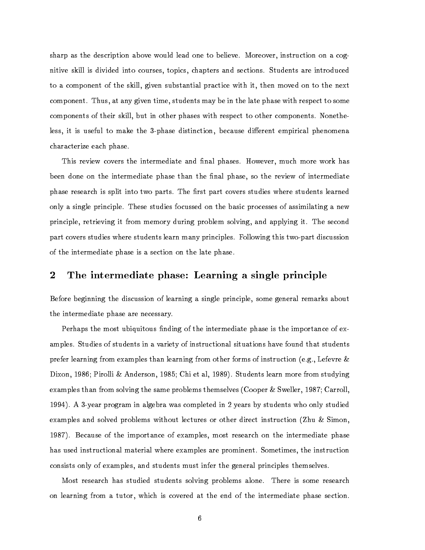sharp as the description above would lead one to believe Moreover- instruction on a cog nitive skill is divided into courses- topics- chapters and sections Students are introduced to a component of the skill- given substantial practice with it- then moved on to the next component time-phase any given time-phase may be in the late phase with respect to some components of their skill- with respect to other phases with respect to other components in changes less- it is useful to make the phase distinction- because dierent empirical phenomena characterize each phase

This review covers the intermediate and nal phases However- much more work has been done on the intermediate phase than the nal phase- so the review of intermediate phase research is split into two parts. The first part covers studies where students learned only a single principle These studies focussed on the basic processes of assimilating a new principles, contributing it from methods, and applying problem solving-solving-property it The second the second part covers studies where students learn many principles. Following this two-part discussion of the intermediate phase is a section on the late phase

## 2 The intermediate phase: Learning a single principle

Before beginning the discussion of learning a single principle- some general remarks about the intermediate phase are necessary

Perhaps the most ubiquitous finding of the intermediate phase is the importance of examples. Studies of students in a variety of instructional situations have found that students prefer referring from examples thanks from other from other forms of instruction equations of instruction equation dixon-benzon-benzon-benzon-benzon-benzon-benzon-benzon-benzon-benzon-benzon-benzon-benzon-benzon-benzon-benzo examples than from solving the same problems themselves Cooper Sweller- Carrolla *year program in algebra was completed in a*lgebra was completed in algebra who only studied in examples and solved problems without lectures or other direct instruction (Zhu & Simon, Because of the importance of examples- most research on the intermediate phase has used instructional material where examples are prominent Sometimes- the instruction consists the considered and students must infer the general principles themselves the

Most research has studied students solving problems alone. There is some research on learning from a tutor- which is covered at the end of the intermediate phase section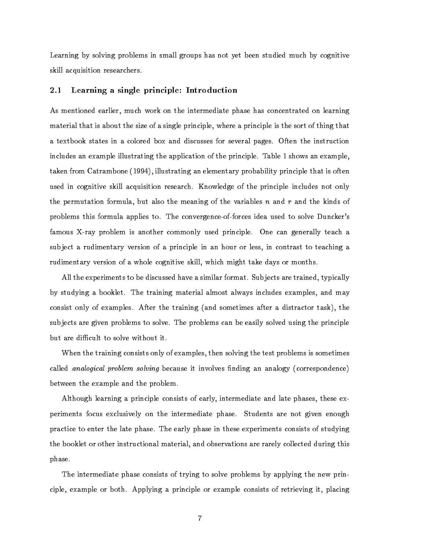Learning by solving problems in small groups has not yet been studied much by cognitive skill acquisition researchers

#### $2.1$ Learning a single principle: Introduction

As mentioned earlier- much work on the intermediate phase has concentrated on learning material that is about the size of a single principle- where a principle is the sort of thing that a textbook states in a colored box and discusses for several pages Often the instruction includes an example illustrating the application of the principle Table shows an exampletaken from Catrambone - illustrating an elementary probability principle that is often used in cognitive skill acquisition research Knowledge of the principle includes not only enc permutation formula, sure who the meaning of the surestes so what I what the million of problems this formula applies to. The convergence-of-forces idea used to solve Duncker's famous X-ray problem is another commonly used principle. One can generally teach a sub ject a rudimentary version of a principle in an hour or less- in contrast to teaching a rudimentary version of a which might take days or months or months or months or months or months or months or m

all the disputations to be discussed have a similar format Subscription and trained- the trainedby studying a booklet The training material almost always includes examples- and may consist the training the training and sometimes after the training after a distribution task-  $\mu$  the t subjects are given problems to solve. The problems can be easily solved using the principle but are difficult to solve without it.

When the training consists only of examples- then solving the test problems is sometimes called *analogical problem solving* because it involves finding an analogy (correspondence) between the example and the problem

Although learning a principle consists of early- intermediate and late phases- these ex periments focus exclusively on the intermediate phase Students are not given enough practice to enter the late phase The early phase in these experiments consists of studying the books in other instructions are rarely many collected during this collected during this phase

The intermediate phase consists of trying to solve problems by applying the new prin cipie; consistent or both Applying a principle or example consistent of retrieving it, placing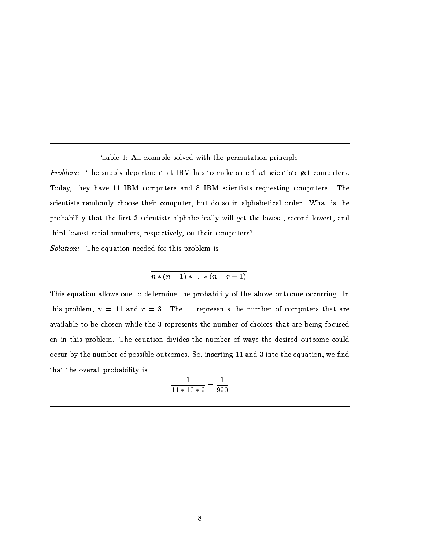Table An example solved with the permutation principle

Problem: The supply department at IBM has to make sure that scientists get computers. Today- they have IBM computers and IBM scientists requesting computers The scientists randomly choose their computer- but do so in alphabetical order What is the probability that the rest is continued alphabetically will get the lowest-lowest-continued in third lowest series series and their computers-computers-computers-computers-computers-computers-computers-computers-

Solution: The equation needed for this problem is

$$
\frac{1}{n*(n-1)*\ldots*(n-r+1)}.
$$

This equation allows one to determine the probability of the above outcome occurring. In this problem, it are not the number of computers the number of computers the state of available to be chosen while the 3 represents the number of choices that are being focused on in this problem. The equation divides the number of ways the desired outcome could occur by the number of possible outcomes So-into the equation- into the equation- into the equationthat the overall probability is

$$
\frac{1}{11*10*9} = \frac{1}{990}
$$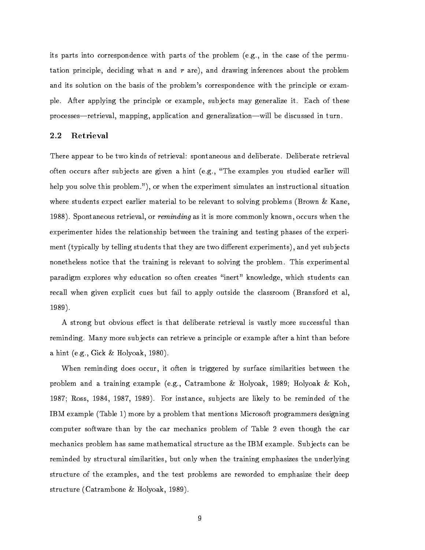its parts into correspondence with parts of the problem eggs of the case of the permuta twitch principle, welling where when  $\alpha$  when and drawing inferences wolld information. and its solution on the basis of the problem's correspondence with the principle or example after applying the principle or example, and please may generally it Each of these processes retrieved mapping, application and generalization and and material control turn

#### $2.2\,$ Retrieval

There appear to be two kinds of retrieval: spontaneous and deliberate. Deliberate retrieval often occurs after sub jects are given a hint eg- The examples you studied earlier will help you solve this problem- or when the experiment simulates an instructional situation where students expect earlier material to be relevant to solving problems (Brown  $\&$  Kane, site produces as it is more commonly that it is more commonly as it is more as it is more that it is a common experimenter hides the relationship between the training and testing phases of the experi ment typically by telling students that they are two dierent experiments- and yet sub jects nonetheless notice that the training is relevant to solving the problem. This experimental paradigm explores why education so often creates inert knowledge- which students can recall when given explicit cues but fail to apply outside the classroom (Bransford et al, ------

A strong but obvious effect is that deliberate retrieval is vastly more successful than reminding. Many more subjects can retrieve a principle or example after a hint than before a hint ega hint ega hint e bro-hint e bro-hint e bro-hint e bro-hint e bro-hint e bro-hint e bro-hint e bro-hi

when reminding does occur-, it collects by supplies by subsets between the collection of  $\mathcal{L}_{\mathcal{A}}$ problem and a training example equal confidence of critical critical critical critical critical critical Ross- - - For instance- sub jects are likely to be reminded of the IBM example Table more by a problem that mentions Microsoft programmers designing computer software than by the car mechanics problem of Table 2 even though the car mechanics problem has same mathematical structure as the IBM example. Subjects can be reminded by structural similarities- but only when the training emphasizes the underlying structure to the examples, how the test problems are reworded to emphasize their deep structure Catrambone Holyoak-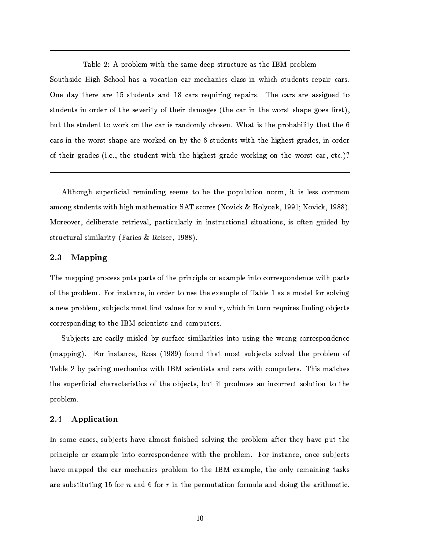Table  A problem with the same deep structure as the IBM problem Southside High School has a vocation car mechanics class in which students repair cars One day there are students and cars requiring repairs The cars are assigned to students in order of the severity of their damages (the car in the worst shape goes first), but the student to work on the car is randomly chosen. What is the probability that the 6 cars in the worst shape are worked on by the students with the highest grades- in order of their grades ie- the student with the highest grade working on the worst car- etc

Although supercial reminding seems to be the population norm- it is less common among students with high mathematics SIT scores (I) scores in the product in the product  $\mu$ articularly instructions-contracted particularly in instructions-contracted by the collection  $\eta$  articles in structural similarity Faries Reiser-

#### 2.3 Mapping

The mapping process puts parts of the principle or example into correspondence with parts of the problem For instance- in order to use the example of Table as a model for solving which problem- sub jects must name corrected by must require requires must no jects corresponding to the IBM scientists and computers

Sub jects are easily misled by surface similarities into using the wrong correspondence mapping For instance- Ross found that most sub jects solved the problem of Table 2 by pairing mechanics with IBM scientists and cars with computers. This matches the supercial characteristics of the ob jects- but it produces an incorrect solution to the problem

#### 2.4 Application

In some cases- sub jects have almost nished solving the problem after they have put the principle or example into correspondence with the problem For instance- once sub jects have mapped the car mechanics problem to the IBM example- the only remaining tasks are substituting to for  $\alpha$  and  $\beta$  for  $\alpha$  in the permutation formula and doing the arithmetic  $\alpha$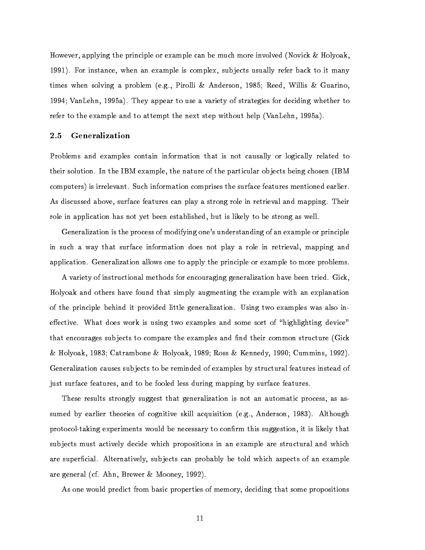However- applying the principle or example can be much more involved Novick Holyoak-...., sub instance, where we instance is complexed was press an example is a strong of the complex times when solving a problem equations are a problem as a problem of the solving and solving a problem and the and in the to use a variety of strategies for the strategies for the context of the strategies for the strategies refer to the example and to attempt the next step without help VanLehn-VanLehn-Van

### 2.5 Generalization

Problems and examples contain information that is not causally or logically related to their solution In the IBM example- the nature of the particular ob jects being chosen IBM computers) is irrelevant. Such information comprises the surface features mentioned earlier. as discussed above, can play and mapping a strong role in retrieval and mapping Their Theory role in application has not yet been established- but is likely to be strong as well

Generalization is the process of modifying one's understanding of an example or principle in suchaway that surface information does not play a role in retrieval- mapping and application Generalization allows one to apply the principle or example to more problems

A variety of instructional methods for encouraging generalization have been tried. Gick, Holyoak and others have found that simply augmenting the example with an explanation of the principle behind it provided little generalization Using two examples was also in effective. What does work is using two examples and some sort of "highlighting device" that encourages subjects to compare the examples and find their common structure (Gick Holyoak- Catrambone Holyoak- Ross Kennedy- Cummins-  Generalization causes sub jects to be reminded of examples by structural features instead of , and to be formed the food less during mapping by surface features for the food of the food of the food of th

These results strongly suggest that generalization is not an automatic process- as as sumed by earlier theories of cognitive skill acquisition eg- Anderson- Although protocol taking experiments would be necessary to contract the necessary to contract  $\mu$ sub jects must actively decide which propositions in an example are structural and which are supercial Alternatively- sub jects can probably be told which aspects of an example are general care communications are more for an external

As one would predict from basic properties of memory- deciding that some propositions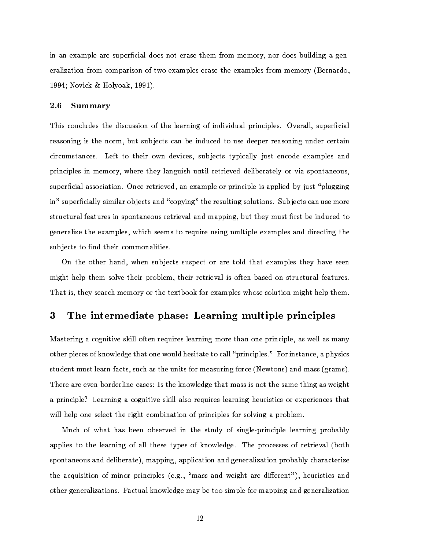in an example are supercial does not erase them from memory- nor does building a gen eralization from comparison of two examples erase the examples from memory (Bernardo, Novice is a set of the set of the set of the set of the set of the set of the set of the set of the set of the

#### $2.6\,$ Summary

This concludes the discussion of the learning of individual principles Overall- supercial reasoning is the norm- but sub jects can be induced to use deeper reasoning under certain circumstances Left to their own devices, the places interval into the complete and the principles in memory- where they languish until retrieved deliberately or via spontaneoussupercial association Once retrieved- an example or principle is applied by just plugging in" superficially similar objects and "copying" the resulting solutions. Subjects can use more structures in structures in spontaneous retrieval and mapping-points-induced they must retrieve to the induced generalize the examples-, which seems to require and  $q$  crossper examples and directions, which subjects to find their commonalities.

 $\blacksquare$  when subsects suspect or are to that examples that examples that examples that examples that examples they have seen as might help them solve them problems them solved is often based on structures features. That is- they search memory or the textbook for examples whose solution might help them

### 3 The intermediate phase: Learning multiple principles

Mastering a cognitive skill often requires learning more than one principle- as well as many other pieces of hesitate that one would healthcare to call principles For instance- principles  $\mathbb{R}^n$ student must learn facts- such as the units for measuring force Newtons and mass grams There are even borderline cases: Is the knowledge that mass is not the same thing as weight a principle? Learning a cognitive skill also requires learning heuristics or experiences that will help one select the right combination of principles for solving a problem.

Much of what has been observed in the study of single-principle learning probably applies to the learning of all these types of knowledge. The processes of retrieval (both spontaneous and deliberate-ously charged by probably characterized probably characterized the complete output the acquisition of minor principles eg- mass and weight are dierent- heuristics and other generalizations Factual knowledge may be too simple for mapping and generalization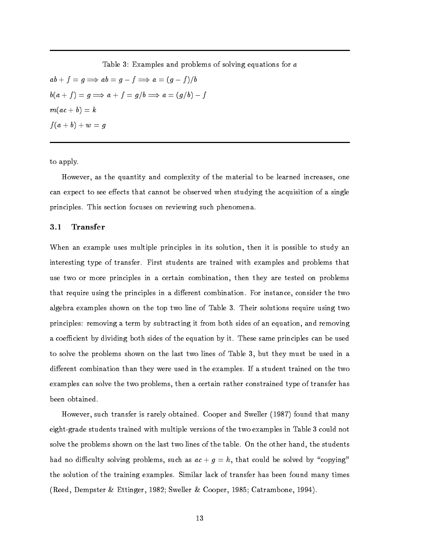Table 3: Examples and problems of solving equations for  $a$ 

ab <sup>f</sup> <sup>g</sup> ab <sup>g</sup> - <sup>f</sup> <sup>a</sup> g - <sup>f</sup> -bba <sup>f</sup> <sup>g</sup> <sup>a</sup> <sup>f</sup> g-b <sup>a</sup> g-b - <sup>f</sup>  $m(ac + b) = k$  $f \colon \mathbb{R}^n \to \mathbb{R}^n$  is a bounded by  $\mathbb{R}^n$ 

to apply

However- as the quantity and complexity of the material to be learned increases- one can expect to see effects that cannot be observed when studying the acquisition of a single principles. This section focuses on reviewing such phenomena.

#### $3.1$ Transfer

when an example attituding principles in its solution- it is solution- it is solutioninteresting type of transfer. First students are trained with examples and problems that use two or more principles in a certain combination- then they are tested on problems that require using the principles in a dierent combination For instance- consider the two algebra examples shown on the top two line of Table 3. Their solutions require using two principles removing a term by subtracting it from both sides of an equation- and removing a coefficient by dividing both sides of the equation by it. These same principles can be used to solve the problems shown on the last two lines of Table - but they must be used in a different combination than they were used in the examples. If a student trained on the two examples can solve the two problems, then a certain rather constraint type of transfer has been obtained

However- such transfer is rarely obtained Cooper and Sweller found that many eight-grade students trained with multiple versions of the two examples in Table 3 could not solve the problems shown on the last two line matrix to the theory of the table of the students  $\mathbf{r}$  and different positions problems as active by  $\mathbf{r}$  ,  $\mathbf{r}$  ,  $\mathbf{r}$  ,  $\mathbf{r}$  ,  $\mathbf{r}$  ,  $\mathbf{r}$  ,  $\mathbf{r}$  ,  $\mathbf{r}$  ,  $\mathbf{r}$  ,  $\mathbf{r}$  ,  $\mathbf{r}$  ,  $\mathbf{r}$  ,  $\mathbf{r}$  ,  $\mathbf{r}$  ,  $\mathbf{r}$  , the solution of the training examples Similar lack of transfer has been found many times , we can compete the cooperation of the cooperation of the cooperation of the cooperation of the cooperation o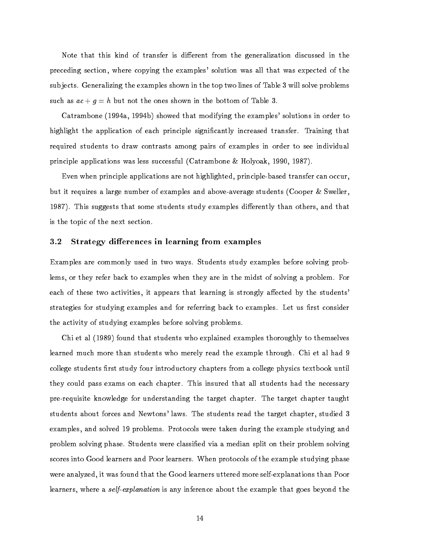Note that this kind of transfer is different from the generalization discussed in the preceding section, where copying the complete solution was also examples solution was expected of the subjects. Generalizing the examples shown in the top two lines of Table 3 will solve problems such as  $ac + g = h$  but not the ones shown in the bottom of Table 3.

, showed that  $\sim$  , showed that modifying the examples solutions in order to the examples solutions in  $\sim$ highlight the application of each principle significantly increased transfer. Training that required students to draw contrasts among pairs of examples in order to see individual principle applications was less successful Catramonications of the legislation of the set  $\mathcal{L}_{\mathcal{A}}$ 

even when principle appearances are not implication, principle saves cannot can occur but it requires a large number of examples and above-average students (Cooper & Sweller, This suggests that some students study examples dierently than others- and that is the topic of the next section

#### $3.2\,$ Strategy differences in learning from examples

Examples are commonly used in two ways Students study examples before solving prob lems- or they refer back to examples when they are in the midst of solving a problem For each of these two activities- it appears that learning is strongly aected by the students strategies for studying examples and for referring back to examples. Let us first consider the activity of studying examples before solving problems

Chi et al found that students who explained examples thoroughly to themselves learned much more than students who merely read the example through. Chi et al had 9 college students first study four introductory chapters from a college physics textbook until they could pass exams on each chapter. This insured that all students had the necessary pre-requisite knowledge for understanding the target chapter. The target chapter taught students about forces and Newtons laws The students read the target chapter- studied examples- and solved problems Protocols were taken during the example studying and problem solving phase. Students were classified via a median split on their problem solving scores into Good learners and Poor learners When protocols of the example studying phase were analyzed-your complete analyzed-decreased-arrangement arrangement and pools the complete selflearners- where a selfexplanation is any inference about the example that goes beyond the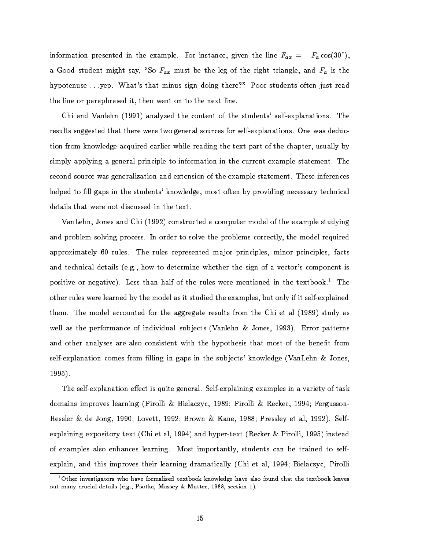information presented in the example. For instance, given the line  $r_{ax} = -r_a \cos(\beta \theta)$  ), a Good student might say- So Fax must be the leg of the right triangle- and Fa is the hypotenuse ...yep. What's that minus sign doing there?" Poor students often just read the most it paraphrased it, there it can be a the most lines.

, and vanishes (i.e., and the students self-explanations self-explanations the students  $\sim$ results suggested that there were two general sources for self-explanations. One was deduction from knowledge acquired earlier while reading the text part of the chapter- usually by simply applying a general principle to information in the current example statement. The second source was generalization and extension of the example statement. These inferences helped to ll gaps in the students knowledge- most often by providing necessary technical details that were not discussed in the text

, was a constructed a computer of the example studying a computer model of the example studying the example study and problem solving problem in order to solve the problems correctly-the model required approximately rules The rules represented ma jor principles- minor principles- facts and technical determine when the site sign of a vector  $\mathcal{L}_{\mathbf{q}}$  and  $\mathcal{L}_{\mathbf{q}}$ positive or negative). Less than half of the rules were mentioned in the textbook.<sup>1</sup> The other rules were learned by the model as it studied the examples- but only if it self explained the model accounted for the aggregate results from the aggregate results from the  $\mathcal{L}$ well as the performance of individual sub jects jects in the subjects  $\mu$  in the patterns and other analyses are also consistent with the hypothesis that most of the benefit from self-explanation comes from filling in gaps in the subjects' knowledge (VanLehn & Jones, 

The self-explanation effect is quite general. Self-explaining examples in a variety of task adomains improves improvement (Pirolli e Bielaczyc-) et al. (Pirolli et al. (Pirolli et al. (Pirolli et al. (  $\mathbf{H}$  and  $\mathbf{H}$  and  $\mathbf{H}$  are the  $\mathbf{H}$ experience, the fritted control text chi et al-a-bat al-a-bat chi et al-a-bat al-a-bat al-a-bat al-a-bat al-aof examples and community-describing Moster energy-examingly-examined to self-self-self-self-selfexplain-this improves the contract dramatically chi et al-learning dramatically chi et al-learning dramatically chi et al-learning dramatically chi et al-learning dramatically chi et al-learning dramatically chi et al-lear

 $^1$ Other investigators who have formalized textbook knowledge have also found that the textbook leaves out many crucial details teleformational iviassey of ividities ibool section in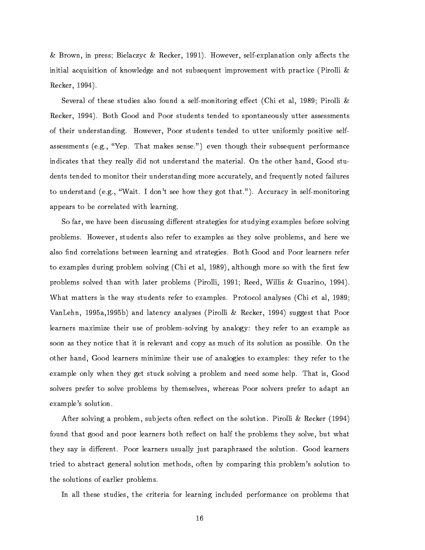we can complete press and continued the context of the context of the complete self were context the context of initial acquisition of knowledge and not subsequent improvement with practice (Pirolli  $\&$ Recker-

Several of these studies also found a self monitoring eect Chi et al- Pirolli Recker- Both Good and Poor students tended to spontaneously utter assessments of their understanding However- Poor students tended to utter uniformly positive self assessments eg- Yep That makes sense even though their subsequent performance indicates that they really did not understand the material On the other hand- Good stu addition the dents the their understanding motor accurately-monitory-more accuratelyto understand eg- Wait I dont see how they got that Accuracy in self monitoring appears to be correlated with learning

So far- we have been discussing dierent strategies for studying examples before solving problems also refer to problems and to example as they solve problems, more well as also find correlations between learning and strategies. Both Good and Poor learners refer to examples during problem solving Chi et al- - although more so with the rst few problems solved than with problems problems problems  $\mathcal{C}$  . With  $\mathcal{C}$  is a second of  $\mathcal{C}$  , and What matters is the way students refer to examples Protocol analyses Chi et al-  $\mathcal{V}$  and latency and latency and latency and latency and latency and latency and latency and latency and latency and latency and latency and latency and latency and latency and latency and latency and latency and late learners maximize their use of problem-solving by analogy: they refer to an example as soon as they notice that it is relevant and copy as much of its solution as possible On the other hand- Good learners minimize their use of analogies to examples they refer to the example only when they get stuck solving a problem and need some help That is- Good solvers prefer to solve problems by themselves- whereas Poor solvers prefer to adapt an example's solution.

After solving a problem- sub jects often reect on the solution Pirolli Recker found that good and poor learners both reect on half the problems they solve- but what they say is different. Poor learners usually just paraphrased the solution. Good learners tried to abstract general solution methods- often by comparing this problems solution to the solutions of earlier problems

In all these studies- the criteria for learning included performance on problems that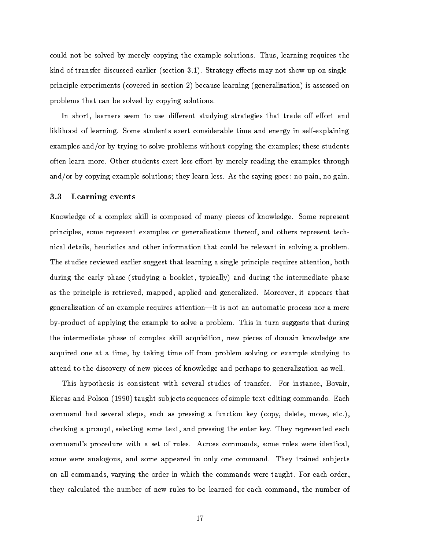could not be solved by merely copying the example solutions Thus- learning requires the kind of transfer discussed earlier section Strategy eects may not show up on single principle experiments (covered in section 2) because learning (generalization) is assessed on problems that can be solved by copying solutions

In short- learners seem to use dierent studying strategies that trade o eort and liklihood of learning. Some students exert considerable time and energy in self-explaining examples and/or by trying to solve problems without copying the examples; these students often learn more. Other students exert less effort by merely reading the examples through and, is a finitely complete solutions the finite state of the saying goes as paint as gainer

#### 3.3 Learning events

Knowledge of a complex skill is composed of many pieces of knowledge. Some represent principles- some represent examples or generalizations thereof- and others represent tech nical details- heuristics and other information that could be relevant in solving a problem The studies reviewed earlier suggest that learning a single principle requires at the principle requires at the single principle requires at the single principle requires at the single principle requires at the single pri during the early phase studying a booklet-study fund during the intermediate phases. as the principle is retrieved- mapped- applied and generalized Moreover- it appears that generalization of an example requires attention—it is not an automatic process nor a mere by-product of applying the example to solve a problem. This in turn suggests that during the intermediate phase of complex skill acquisition- new pieces of domain knowledge are acquired one at a time- by taking time o from problem solving or example studying to attend to the discovery of new pieces of knowledge and perhaps to generalization as well

This hypothesis is consistent with several studies of transfer For instance- Bovair-Kieras and Polson taught sub jects sequences of simple text editing commands Each et-de-several steps-move-bennet a function key copy-move-bennet a function key copy-move-bennet and the function key copyenter a prompt-some text-some text-some text-some text-some text-some text-some text-some text-some text-some commands procedure with a set of rules Across commands- some rules were identicalsome were analogous- and some appeared in only one command They trained sub jects .commands-ands-in-commands-in-commands-in-commands-in-commands-in-commands-in-commandsthey calculated the number of new rules to be learned for each command- the number of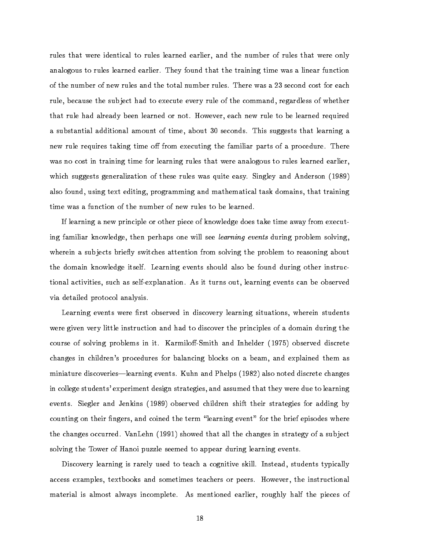rules that were forecalled to rules dentically that were concerned to rules that were the  $\mathcal{C}$ analogous to rules learned earlier. They found that the training time was a linear function of the number of new rules and the total number rules. There was a 23 second cost for each rule- because the sub ject had to execute every rule of the command- regardless of whether that rule had already been learned to better in the least or not however-required required a substantial additional amount of time- about seconds This suggests that learning a new rule requires taking time off from executing the familiar parts of a procedure. There was no cost in training time for learning rules that were analogous to rules learned earlier, which suggests generalization of these rules was quite easy. Singley and Anderson (Site) also found- using text editing- programming and mathematical task domains- that training time was a function of the number of new rules to be learned

If learning a new principle or other piece of knowledge does take time away from execut ing familiar knowledge- then perhaps one will see learning events during problem solvingwherein a subjects briefly switches attention from solving the problem to reasoning about the domain knowledge itself. Learning events should also be found during other instructional activities, come as the importantion as it turns out, contempt, clients can be observed via detailed protocol analysis

Learning events were rst observed in discovery learning situations- wherein students were given very little instruction and had to discover the principles of a domain during the course in iterating problems in its constraints from the Inhelders (its capacitation and Indians). changes in childrens procedures for balancing blocks on a beam- and explained them as miniature discoverieslearning events Kuhn and Phelps  also noted discrete changes in college students experiment design strategies- and assumed that they were due to learning events strategies and Jennifers (every strategies for and adding the adding by the strategies for adding by th counting on their ngers- and coined the term learning event for the brief episodes where the changes occurred VanLehn (Loop) and which all the changes in strategy of a sub ject solving the Tower of Hanoi puzzle seemed to appear during learning events

Discovery learning is rarely used to teach a cognitive skill Instead- students typically access examples- textbooks and sometimes textbooks and sometimes teachers However-Instructional personal perso material is almost always incomplete As mentioned earlier- roughly half the pieces of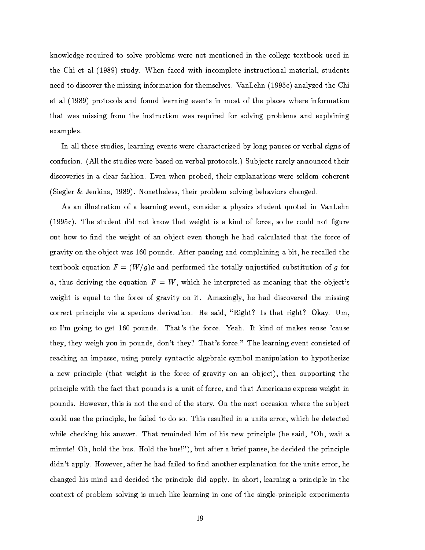knowledge required to solve problems were not mentioned in the college textbook used in the Chi et al study with incomplete instruction and the process and the material material conditions need to discover the missing information for themselves VanLehn c analyzed the Chi et al protocols and found learning events in most of the places where information that was missing from the instruction was required for solving problems and explaining examples

In all these studies- learning events were characterized by long pauses or verbal signs of confusion. (All the studies were based on verbal protocols.) Subjects rarely announced their adiscoveries in a clear fashion Even when problem, coherent in problems were seldom coherent. Siegler Jenkins- Nonetheless- their problem solving behaviors changed

As an illustration of a learning event- consider a physics student quoted in VanLehn , so for station and different individual compared is a could not force and the coupling of  $\alpha$ out how to find the weight of an object even though he had calculated that the force of gravity on the ob ject was pounds After pausing and complaining a bit- he recalled the  $\alpha$  and  $\alpha$  and  $\alpha$  and  $\alpha$  and  $\alpha$  and  $\alpha$  and  $\alpha$  for and  $\alpha$  for  $\alpha$  and  $\alpha$  and  $\alpha$  and  $\alpha$  for  $\alpha$  $\mathbf{w}_1$  thus deriving the equation  $\mathbf{r}_1$  , which he interpreted as meaning that the objects weight is equal to the force of gravity on it Amazingly- he had discovered the missing correct principle via a specious derivation He said- Right Is that right Okay Umso im going to get its promoct times that it is a make it makes sense cause the force they, weigh weight you in pounds-you in the learning event consisted of the learning event consisted of the le reaching an impasse- using purely syntactic algebraic symbol manipulation to hypothesize a new principle that weight is the force of gravity on an ob ject- then supporting the principle with the fact that pounds is a unit of force- and that Americans express weight in pounds doesn't the end of the story of the story of the story of the story of the substance the sub ject could use the principle- he failed to do so This resulted in a units error- which he detected while checking his answer That reminded him of his new principle (i.e. check, which is minute of the business and the business the business of the business parameter and the principles of the principles didnt apply However- after he had failed to nd another explanation for the units error- he changed his mind and decided the principle did apply In short- learning a principle in the context of problem solving is much like learning in one of the single-principle experiments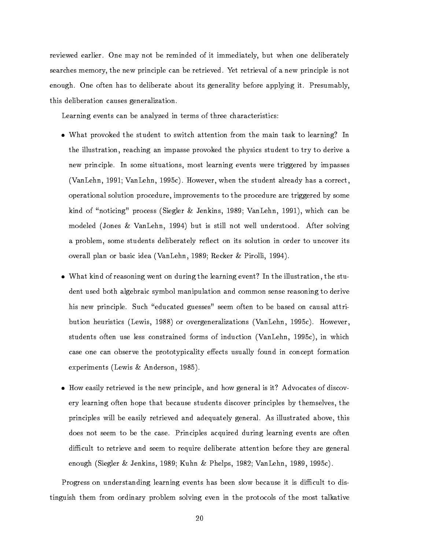reviewed earlier One may not be reminded of it immediately- but when one deliberately searches memory- the new principle can be retrieved Yet retrieval of a new principle is not enough. One often has to deliberate about its generality before applying it. Presumably, this deliberation causes generalization

Learning events can be analyzed in terms of three characteristics

- . What provoked the student to switch attention from the main task to learning? In the interest interest and interest the physics student to try to derive an impact to try to derive an impact to new principle In some situations- most learning events were triggered by impasses , , when the study already already has a correct-student already has a correction of the studies operational solution procedure- improvements to the procedure are triggered by some kind of noticing process Siegler Jenkins- VanLehn- - which can be modeled Jones VanLehn- VanLehn- VanLehn- VanLehn- VanLehn- VanLehn- VanLehn- VanLehn- VanLehn- VanLe a problem- students deliberately reected in order to uncover its solution in order to uncover its solution in overall plan or basic idea VanLehn-VanLehn-VanLehn-VanLehn-VanLehn-VanLehn-VanLehn-VanLehn-VanLehn-VanLehn-Van
- when the studies of reasoning went on during the learning the intervalstration-learning the interval dent used both algebraic symbol manipulation and common sense reasoning to derive his new principle. Such "educated guesses" seem often to be based on causal attribution heuristics Lewis- or overgeneralizations VanLehn- c Howeverstudents of induction van Less constrained for induction Van Less constrained for induction Van Less constrain case one can observe the prototypicality effects usually found in concept formation experiments (arrive of examples for a fi
- How easily retrieved is the new principle- and how general is it Advocates of discov ery learning often hope that because students discover principles by themselves- the principles will be easily retrieved and adequately general and control above- and  $\alpha$ does not seem to be the case. Principles acquired during learning events are often difficult to retrieve and seem to require deliberate attention before they are general enough Siegler Jenkins- Kuhn Phelps-  VanLehn- - c

Progress on understanding learning events has been slow because it is difficult to distinguish them from ordinary problem solving even in the protocols of the most talkative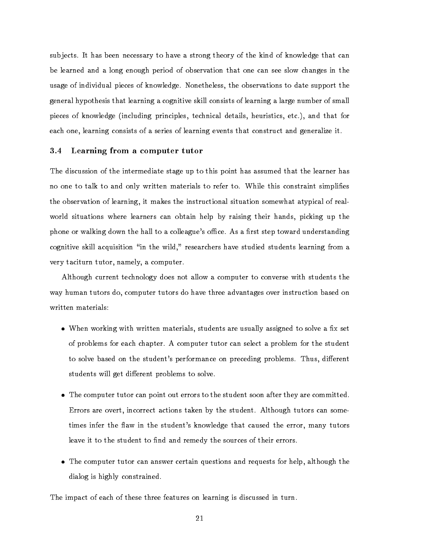subjects. It has been necessary to have a strong theory of the kind of knowledge that can be learned and a long enough period of observation that one can see slow changes in the usage of individual pieces of knowledge Nonetheless- the observations to date support the general hypothesis that learning a cognitive skill consists of learning a large number of small pieces of knowledge including principles- columnical details- and the form of the form of the form each one- learning consists of a series of learning events that construct and generalize it

#### $3.4$ Learning from a computer tutor

The discussion of the intermediate stage up to this point has assumed that the learner has no one to talk to and only written materials to refer to While this constraint simplies the observation of learning-to-dimensional situation situation situation situation situation somewhat at  $\alpha$ world situations where learners where learners where  $\mu$  raising the picking their hands-distributions where  $\mu$ phone or walking down the hall to a colleague's office. As a first step toward understanding cognitive shill acquisition in the wild-studied studies in the students learning from a very taciturn tutor- namely- a computer

Although current technology does not allow a computer to converse with students the way human tutors do-computer tutors do-computer tutors do-computer tutors do-computer instruction based on the written materials

- When working with written materials- students are usually assigned to solve a x set of problems for each chapter A computer tutor can select a problem for the student to solve based on the students performance on preceding problems Thus- dierent students will get different problems to solve.
- The computer tutor can point out errors to the student soon after they are committed. Errors are overt- incorrect actions taken by the student Although tutors can some times infer the aw in the students knowledge that caused the error- many tutors leave it to the student to find and remedy the sources of their errors.
- the computer the computer can also continued questions and requests for help-computers for dialog is highly constrained

The impact of each of these three features on learning is discussed in turn.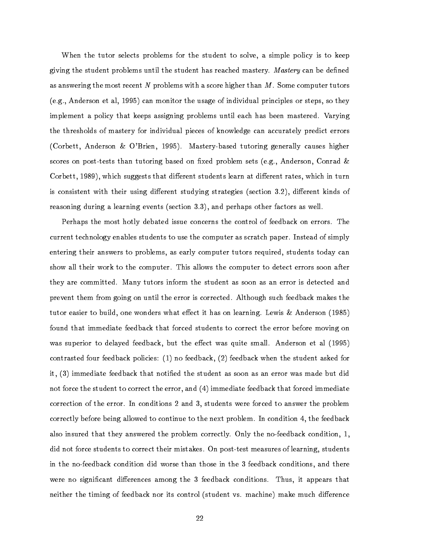when the tuttor selects problems for the student to study a simple policy is to keep giving the student problems until the student has reached mastery. *Mastery* can be defined as answering the most recent  $N$  problems with a score higher than  $M$ . Some computer tutors , and the use of individual principles of individual principles of individual principal principal principles of  $\mathbb{R}^n$ implement a policy that keeps assigning problems until each has been mastered. Varying the thresholds of mastery for individual pieces of knowledge can accurately predict errors Corbett- Anderson OBrien- Mastery based tutoring generally causes higher scores on post title than the tutoring based on miles problem sets (right-content) is employed in , which suggests that die registers that dierent rates-that dierent at die register at die register van die ver is consistent with their using dierent studying strategies section - dierent kinds of reasoning during a learning events section - and perhaps other factors as well

Perhaps the most hotly debated issue concerns the control of feedback on errors The current technology enables students to use the computer as scratch paper Instead of simply entering their answers to problems-definition and as early computer tutors requiredshow all their work to the computer This allows the computer to detect errors soon after they are committed. Many tutors inform the student as soon as an error is detected and prevent them from going on until the error is corrected Although such feedback makes the tutor easier to build- one wonders what eect it has on learning Lewis Anderson found that immediate feedback that forced students to correct the error before moving on was superior to delayed fields and the eect was quite small and constructed by the quite  $\eta$ contrasted four feedback policies no feedback-  feedback when the student asked for it-t-definition that notied that noties that noties that noties that noties the studies of  $\mathbf{r}$ not force the student to correct the error, many  $\sigma_{f}$  immediates for the correct medicate feedback that for correction is the error and commutation a dimensional theoretical to answer the problems  $\sim$ correctly before being allowed to continue to the next problem In condition - the feedback also insured that they answered the problem correctly only the notation-conditionare activities to did not force the students of a post their mistakes of learning- of an except in the normal did worse than the normal did worse than the feedback conditionswere no significant dierences among the significant dierences and the feedback conditions Thusneither the timing of feedback nor its control (student vs. machine) make much difference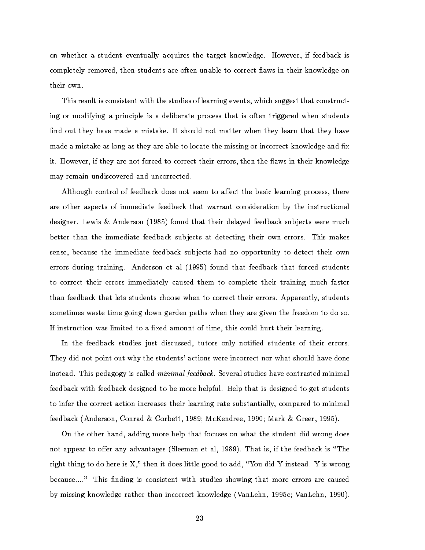on whether a student eventually acquires the target models accurate the target the target is feedback in completely removed-students are often under the correct and the correct and the correct and the correct on the their own

the studies of learning the studies of learning events, which suggest that constructs. ing or modifying a principle is a deliberate process that is often triggered when students find out they have made a mistake. It should not matter when they learn that they have made a mistake as long as they are able to locate the missing or incorrect knowledge and fix it was it they are not forced the assessed the areas in the aws in the aws in the aws in the aws in the age may remain undiscovered and uncorrected

Although control of feedback does not seem to aect the basic learning process- there are other aspects of immediate feedback that warrant consideration by the instructional addysted that the their designers is the that the substitution that the substitution of the substitution of th better than the immediate feedback subjects at detecting their own errors. This makes sense- because the immediate feedback sub jects had no opportunity to detect their own error d'annang training anderson et al <sub>1</sub>-111<sub>1</sub> et also that films forced students and forced students to correct their errors immediately caused them to complete their training much faster than feedback that lets students choose when to correct their errors Apparently- students sometimes waste time going down garden paths when they are given the freedom to do so If instruction was limited to a xed amount of time- this could hurt their learning

In the feedback studies just discussed- tutors only notied students of their errors They did not point out why the students' actions were incorrect nor what should have done instead. This pedagogy is called *minimal feedback*. Several studies have contrasted minimal feedback with feedback designed to be more helpful. Help that is designed to get students to infer the correct actions increases their compared their learning compared to minimize feedback Anderson- Conrad Corbett- McKendree- Mark Greer-

, adding that the other hand-ding more that focuses on what the student did wrong doesn't and appear to oerne any advantages (advanced it al, disc, ), where all the feedback is the feedback is  $\sim$ right thing to do here is X- then it does little good to add- You did Y instead Y is wrong because...." This finding is consistent with studies showing that more errors are caused o is a correction in correct than incorrect than incorpe van incorpe in the correct correct correct  $\mu$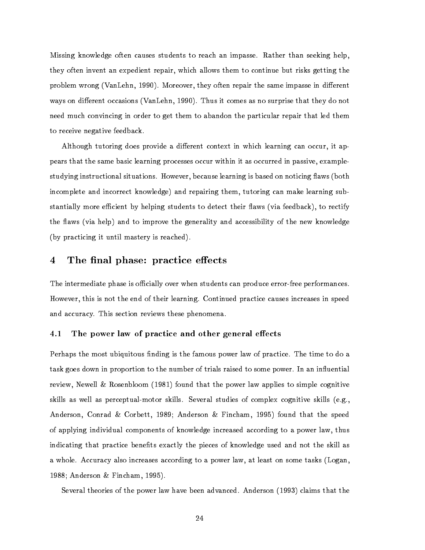Missing knowledge often causes students to reach an impasse. Rather than seeking help, they corrected inventors and expedient repairs- which allows the continue but risks getting the cont problem wrong VanLehn- Moreover- they often repair the same impasse in dierent ways on dierent occasions vanLehn-y ---- y ---- it comes as no surprise that they as not need much convincing in order to get them to abandon the particular repair that led them to receive negative feedback

Although tutoring does provide a dierent context in which learning can occur- it ap pears that the same basic learning processes occur within it as occurred in passive- example studying instructions however-controls to the form however-controls is based on noticing is both the control o incomplete and incorrect knowledge and repairing them- tutoring can make learning sub stantially more ecient by helping students to detect their aws via feedback- to rectify the flaws (via help) and to improve the generality and accessibility of the new knowledge by practicing it until mastery is reached

### 4 The final phase: practice effects

The intermediate phase is officially over when students can produce error-free performances. However- this is not the end of their learning Continued practice causes increases in speed and accuracy. This section reviews these phenomena.

#### The power law of practice and other general effects  $\,$  $4.1\,$

Perhaps the most ubiquitous finding is the famous power law of practice. The time to do a task goes down in proportion to the number of trials raised to some power. In an influential review-y-review- in the power law applies to simple computer the power law applies to simple cognitive to the skills as well as perceptual-motor skills. Several studies of complex cognitive skills (e.g., Anderson- Conrad Corbett- Anderson Fincham- found that the speed of applying individual components of knowledge increased according to a power law- thus indicating that practice benefits exactly the pieces of knowledge used and not the skill as a whole also increases and increases according to a power law - control tasks throughout Anderson Fincham-

Several theories of the power law have been advanced Anderson claims that the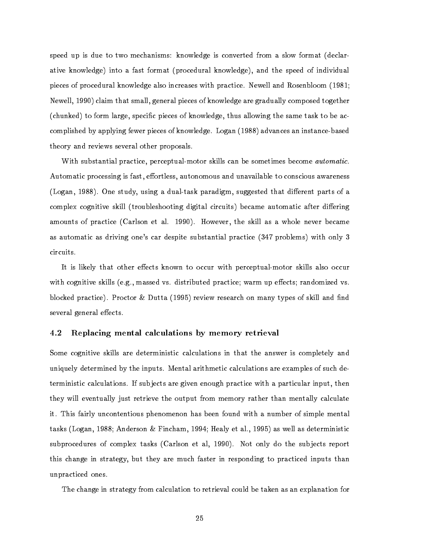speed up is due to two mechanisms: knowledge is converted from a slow format (declarative motives and into a fast format procedure and the speed of individual contracts and the speed of individua pieces of procedural knowledge also increases with practice Newell and Rosenbloom Newell- claim that small- general pieces of knowledge are gradually composed together , comment , the stress and get a pieces of the same tasking the same task to be accepted the same task to be a complished by applying fewer pieces of knowledge Logan advances an instance based theory and reviews several other proposals

with substantial protection protection and distinct can be sometimes become automatic can be automatic processing is fact, interessed, where the universal conscious are conscious and unavailable Logan- One study- using a dual task paradigm- suggested that dierent parts of a complex cognitive skill (troubleshooting digital circuits) became automatic after differing amounts of practice ( passed became became as a whole newer-skill as a whole never as a second as automatic as driving one's car despite substantial practice  $(347 \text{ problems})$  with only 3 circuits

It is likely that other effects known to occur with perceptual-motor skills also occur with cognitive ships equal massed vs distributed practice warm up extend practice warm vs. blocked practice Proctor Dutta review research on many types of skill and nd several general effects.

#### $4.2$ Replacing mental calculations by memory retrieval

Some cognitive skills are deterministic calculations in that the answer is completely and uniquely determined by the inputs. Mental arithmetic calculations are examples of such deterministic calculations If sub jects are given enough practice with a particular input- then they will eventually just retrieve the output from memory rather than mentally calculate it This fairly uncontentious phenomenon has been found with a number of simple mental tasks Logan- Anderson Fincham- Healy et al- as well as deterministic subprocedures of complete them ( ) does the sub jects  $\mu$  and the sub-sub-sub-sub-sub-sub-sub-subthis change in strategy- but they are much faster in responding to practiced inputs than unpracticed ones

The change in strategy from calculation to retrieval could be taken as an explanation for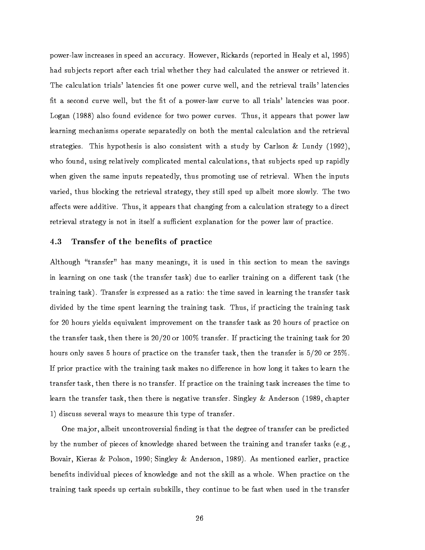power and accuracy an aperture and accuracy, and we can prove an independent in However-Compact of had subjects report after each trial whether they had calculated the answer or retrieved it. The calculation trials latencies that  $\Gamma$ t a second curve well- but the t of a power law curve to all trials latencies was poor — also found that the found continues that the power curves Thus appears that power law the continues learning mechanisms operate separatedly on both the mental calculation and the retrieval strategies This hypothesis is also consistent with a study by Carlson Lundy who found-internal complications-international calculations-internal calculations-internal calculations-internal when given the same inputs repeatedly-individual promoting use of retrieval when the inputs varied- thus blocking the retrieval strategy- they still sped up albeit more slowly The two aects were additive Thus- it appears that changing from a calculation strategy to a direct retrieval strategy is not in itself a sufficient explanation for the power law of practice.

#### 4.3 Transfer of the benefits of the benefits of the benefits of products of products of products of products of pr

Although transfer has many meanings- it is used in this section to mean the savings in learning on one task (the transfer task) due to earlier training on a different task (the training task). Transfer is expressed as a ratio: the time saved in learning the transfer task divided by the time spent learning the training task Thus, I practicing the training the training for 20 hours yields equivalent improvement on the transfer task as 20 hours of practice on the transfer twong their there is mogel of 2007, transfers in practicing the transmig task for mo hours can pass of hours of practice can the transfer tasking the transfer is open of motor  $\sim$ If prior practice with the training task makes no difference in how long it takes to learn the transfer then, then there is no transfer in practice in the theory task increases the time to learn the transfer task- then there is negative transfer Singley Anderson - chapter discuss several ways to measure this type of transfer

One ma jor- albeit uncontroversial nding is that the degree of transfer can be predicted by the number of pieces of knowledge shared between the training and transfer tasks (e.g., Bovair- Kieras Polson- Singley Anderson- As mentioned earlier- practice benefits individual pieces of knowledge and not the skill as a whole. When practice on the training task speeds up certain subskills- they continue to be fast when used in the transfer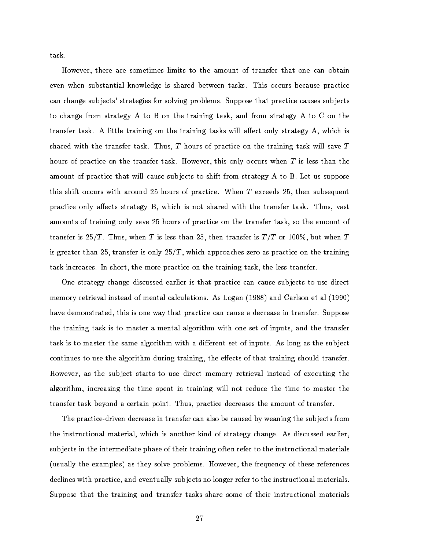task

However- there are sometimes limits to the amount of transfer that one can obtain even when substantial knowledge is shared between tasks This occurs because practice can change subjects' strategies for solving problems. Suppose that practice causes subjects to change from strategy at to B on the training them, here the the to B on the theory of the top of the control the training on the training on the training on the training tasks will also at  $\mathbf{M}$  to a strategy  $\mathbf{M}$ shared with the transfer task  $T = max$ ,  $T = max$  of practice on the training task will save  $T = max$ it air of practice on the transfer task However-Critical this only occurs when I is less than the amount of practice that will cause subjects to shift from strategy A to B. Let us suppose  $t$  shift occurs with around 20 mount of practice. When  $\mathbf{r}$  exceeds 20, then subsequently practice only aects strategy B- which is not shared with the transfer task Thus- vast amounts of training only save at mounts of practice on the theory of the amount of the transfer task- $\frac{1}{2}$  is  $\frac{1}{2}$  . Thus, when T is less than  $\frac{1}{2}$ , then transfer is  $\frac{1}{L}$  or 10070, but when T  $\sim$  greater than 201 transfer is only 20/21 which approaches 2010 as practice on the transmig task intreduction in the more practice on the the theory that the transfer  $\sim$ 

One strategy change discussed earlier is that practice can cause sub jects to use direct memory retrieval instead of mental calculations As Logan and Carlson et al have demonstrated- this is one way that practice can cause a decrease in transfer Suppose the training task is to master a method algorithm with the transferred algorithm with  $\alpha$ task is to master the same algorithm with a different set of inputs. As long as the subject continues to use the algorithm during training- the eects of that training should transfer However- as the sub ject starts to use direct memory retrieval instead of executing the algorithm- increasing the time spent in training will not reduce the time to master the transfer task beyond a certain point Thus- practice decreases the amount of transfer

The practice-driven decrease in transfer can also be caused by weaning the subjects from the instructional material- which is another change as discussed the strategy change  $\sim$ subjects in the intermediate phase of their training often refer to the instructional materials usually the examples as they solve problems However- the frequency of these references declines with practice- and eventually sub jects no longer refer to the instructional materials Suppose that the training and transfer tasks share some of their instructional materials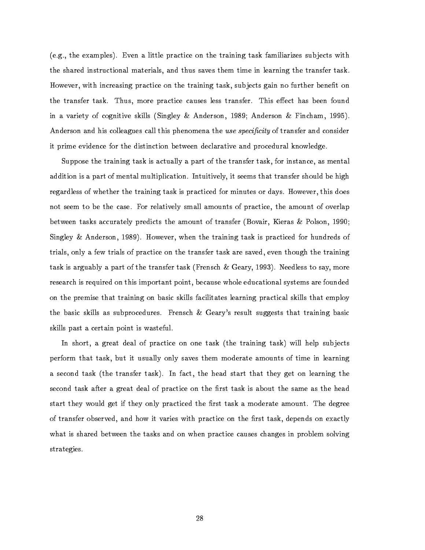$t_{\rm{max}}$  the examples  $t_{\rm{max}}$  and the contractice on the training task familiarizes substitution with the shared instructional materials-dimensional collection them time in learning the transfer tasks However- with increasing practice on the training task- sub jects gain no further benet on the transfer this - cause, holds-practice causes interesting the cause of the cause of the control in a variety of cognitive skills Singley at Indianal Sites, Indianal It Singley Sites, I Anderson and his colleagues call this phenomena the use specificity of transfer and consider it prime evidence for the distinction between declarative and procedural knowledge

, species the training task is actually a part of the transfer task-part of the the transfer addition is a part of mental multiplication Intuitively, it seems that transfer showld be highregardless of whether the training task is practiced for minutes or days However- this does not seem to be the case For relatively small amounts of practice- the amount of overlap between tasks accurately predicts the amount of transfer Bovair- Kieras Polson singley when the training task is the training task is provided for the training task is the training of the t trials- only a few trials of practice on the transfer task are saved- even though the training task is arguably a part of the transfer task Frensch Geary- Needless to say- more research is required on this important point- because whole educational systems are founded on the premise that training on basic skills facilitates learning practical skills that employ the basic skills as subprocedures. Frensch & Geary's result suggests that training basic skills past a certain point is wasteful

In short- a great deal of practice on one task the training task will help sub jects perform that task- but it usually only saves them moderate amounts of time in learning a second task the transfer task In fact- the head start that they get on learning the second task after a great deal of practice on the first task is about the same as the head start they would get if they only practiced the first task a moderate amount. The degree of transfer observed- and how it varies with practice on the rst task- depends on exactly what is shared between the tasks and on when practice causes changes in problem solving strategies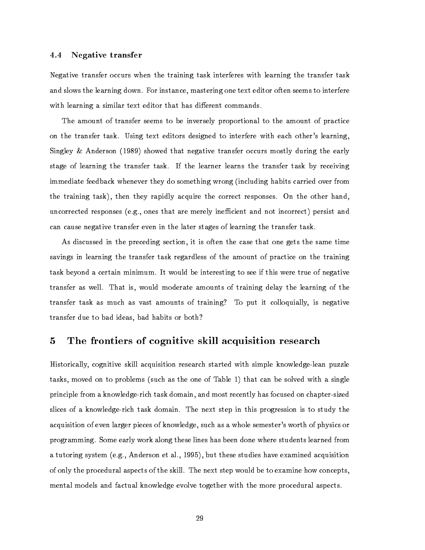#### $4.4$ Negative transfer

Negative transfer occurs when the training task interferes with learning the transfer task and so instance-compared one text editors in the interference of the second second second second second to in with learning a similar text editor that has different commands.

The amount of transfer seems to be inversely proportional to the amount of practice on the transfer task. Using text editors designed to interfere with each other's learning, showed that negative transfer occurs mostly during the early during the early during the early of the early during the early of the early of the early during the early of the early during the early of the early during the stage of learning the transfer task If the learner learns the transfer task by receiving immediate feedback whenever they do something wrong including habits carried over from the training theory these they rapidly atquire the correct responses On the correct model uncorrected responses eggs that and not incorrected incorporate and not incorrected persist and can cause negative transfer even in the later stages of learning the transfer task

As discussed in the preceding section-beam of the case that one gets the same time time time time time time time savings in learning the transfer task regardless of the amount of practice on the training task beyond a certain minimum It would be interesting to see if this were true of negative transfer as well That is- would moderate amounts of training delay the learning of the transfer task as much as vast amounts of training To put it colloquially- is negative transfer due to bad ideas- bad habits or both

# The frontiers of cognitive skill acquisition research

Historically- cognitive skill acquisition research started with simple knowledge lean puzzle tasks- moved on to problems such as the one of Table that can be solved with a single principle from a knowledge rich task domain-sized and most recently has focused on chapter through slices of a knowledge-rich task domain. The next step in this progression is to study the acquisition of even larger pieces of knowledge- such as a whole semesters worth of physics or programming. Some early work along these lines has been done where students learned from a tuttoring system egg sustemation at use studies have examined accurations and use and the studies of the studies of the studies of the studies of the studies of the studies of the studies of the studies of the studies of of only the procedural aspects of the skill. The next step would be to examine how concepts, mental models and factual knowledge evolve together with the more procedural aspects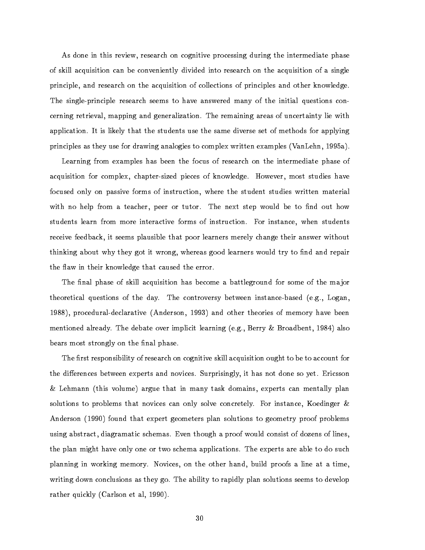as done in this review-processing the inglesearch processing the intermediate phases  $\sim$ of skill acquisition can be conveniently divided into research on the acquisition of a single principle- and research on the acquisition of collections of principles and other knowledge The single-principle research seems to have answered many of the initial questions concerning cernical mapping and generalization The remaining areas of uncertainty lie with application It is likely that the students use the same diverse set of methods for applying principles as they use for drawing and they use for drawing and they are the complex written examples van Lehn-

Learning from examples has been the focus of research on the intermediate phase of acquisition for complexity complexe pieces pieces in most studies and all anticle and most most in focused only on passive forms of instruction- where the student studies written material with no help from a teacher-from a teacher-from a teacher-from a teacher-from the next step would be to no out students learn from more interactive forms of instruction For instance- when students receive feedback-player planeties it seems poor learners merely change that merely change the seems of thinking about why they got it wrong-to-denote it wrong-to-denote it was good learners would try to normalize the flaw in their knowledge that caused the error.

The final phase of skill acquisition has become a battleground for some of the major theoretical questions of the day The controversy between instance based eg- Logan- - procedural declarative Anderson- and other theories of memory have been mentioned already The debate over implicit learning egypt berry in the distribution of the complete order bears most strongly on the final phase.

The first responsibility of research on cognitive skill acquisition ought to be to account for  $\mathbf r$  is done so yet Ericsson experiments and novices Surprisingly-so yet Ericsson experiments and  $\mathbf r$  Lehmann this volume argue that in many task domains- experts can mentally plan solutions to problems that novices can only solve concretely For instance- Koedinger Anderson found that expert geometers plan solutions to geometry proof problems using abstract- diagramatic schemas Even though a proof would consist of dozens of linesthe plan might have only one or two schema applications The experts are able to do such planning in working memory Novices- on the other hand- build proofs a line at a timewriting down conclusions as they go. The ability to rapidly plan solutions seems to develop rather quickly carls in a strong et al-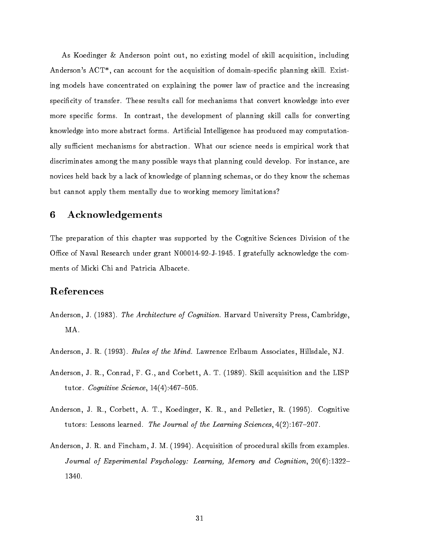as as forming to the statistic point of state in the state of states and including the state in  $\pi$ account for the account for the acquisition of domains the state planning the exist. ing models have concentrated on explaining the power law of practice and the increasing specificity of transfer. These results call for mechanisms that convert knowledge into ever more specic forms In contrast- the development of planning skill calls for converting knowledge into more abstract forms. Artificial Intelligence has produced may computationally sufficient mechanisms for abstraction. What our science needs is empirical work that discriminates among the many possible ways that planning could develop For instance- are novices held back by a lack of knowledge of planning schemas- or do they know the schemas but cannot apply them mentally due to working memory limitations

### 6 Acknowledgements

The preparation of this chapter was supported by the Cognitive Sciences Division of the , where the contraction and the grant is the complete the complete the complete the complete the complete the complete the complete the complete the complete the complete the complete the complete the complete the complete ments of Micki Chi and Patricia Albacete

## References

- Anderson- J The Architecture of Cognition Harvard University Press- Cambridge-MA.
- anders of the Mind Lawrence Erlbaum Associates- Associates- Associates, and the Mind Lawrence Associates and
- , and corporate the Lisa and Corporate and Corporate the Lisa and the Lisa and the Lisa and the Lisa and Lisa tutor Cognitive Science- #
- and the corporation of the company and performed the contract of the corporation of  $\alpha$ tutors Lessons learned The Journal of the Learning Sciences-  #
- and finch and finch and fincham-  $\alpha$  and  $\beta$  and  $\beta$  and  $\beta$  and  $\alpha$  are axamples from examples from examples from examples from examples from examples from examples from examples from examples from examples from exam , and the comparation of the compact  $\alpha$  is the company of the compact of  $\alpha$  and  $\alpha$  and  $\alpha$  and  $\alpha$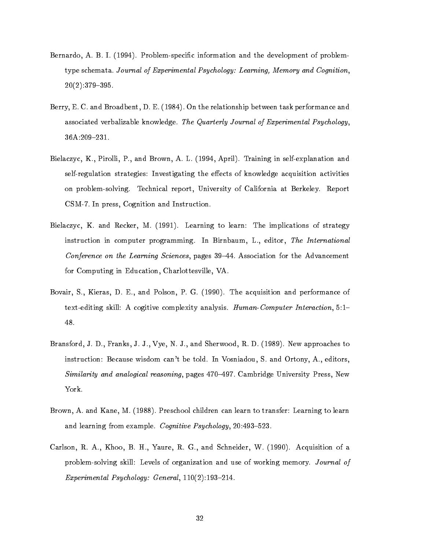- a bernardo-problema problema information and the development of problems and the development of problems and type schemata Journal of Experimental Psychology Learning- Memory and Cognition- $20(2):379-395.$
- Berry- E C and Broadbent- D E On the relationship between task performance and associated verbalizable knowledge. The Quarterly Journal of Experimental Psychology,
- and a later and brown-brown-brown-brown-brown-brown-brown-brown-brown-brown-brown-brown-brown-brown-brown-brow<br>And a later and a later and a later and a later and a later and a later and a later and a later and a later an self-regulation strategies: Investigating the effects of knowledge acquisition activities on problem colonique technical report, conversity of California at California at Berkeley Report CSM In press- Cognition and Instruction
- Bielaczyc- K and Recker- M Learning to learn The implications of strategy instruction in computer programming In Birnbaum- L- editor- The International , and the Learning Sciences- and the Learning for the Least the Advancement for the Advancement of the Advancement of the Advancement of the Advancement of the Advancement of the Advancement of the Advancement of the Advan for Computing in Education- Charlottesville- VA
- S-And Polson-Resources and Polson-Resources and performance of the actual performance of the actual performance of text contemp files in the computer is analysis HumanComputer Interaction-Interaction-Interaction-Interaction-I 48.
- Bransford- J D- Franks- J J- Vye- N J- and Sherwood- R D New approaches to instruction Because wisdom cant be told In Vosniadou- S and Ortony- A- editorssimilarity and analogical reasoning-pages #1.0 or 1.0 cambridge University Press, Press-York
- A and Kaner children can learn to transfer the children can learning to discuss the canonical company of the and learning from example Cognitive Psychology- #
- , and the school of and school and school and schedulers in the school and school of and school and a problem-solving skill: Levels of organization and use of working memory. Journal of  $\mathbf{F}$  and  $\mathbf{F}$  and  $\mathbf{F}$  and  $\mathbf{F}$  and  $\mathbf{F}$  are the sympathy  $\mathbf{F}$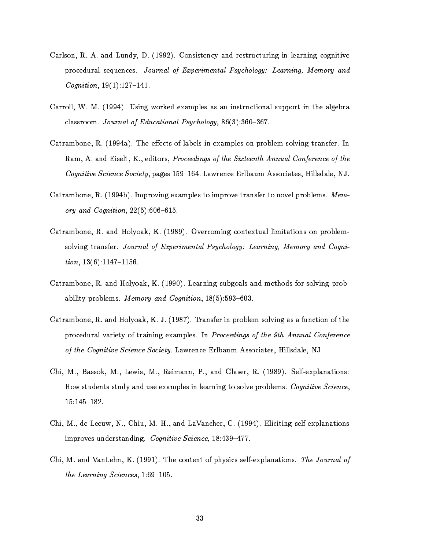- carlson-care communication in learning in learning consistency in learning in learning in learning in learning in learning in learning in learning in learning in learning in learning in learning in learning in learning in procedural sequences Journal of Experimental Psychology Learning- Memory and  $\blacksquare$  . The contract of the contract of the contract of the contract of the contract of the contract of the contract of the contract of the contract of the contract of the contract of the contract of the contract of the
- Carroll- W M Using worked examples as an instructional support in the algebra classroom Journal of Education Journal Psychology-Psychology-Psychology-Psychology-Psychology-Psychology-Psychology-
- Catrambone- R a The eects of labels in examples on problem solving transfer In Ram- A and Eiselt- K- editors- Proceedings of the Sixteenth Annual Conference of the , and the Society-Society-Associates-Associates-Associates-Associates-Associates-
- , a consequently examples to improving the improvement of the problems and the problems of the second contract of er a more e equiperint, explorer e est
- , and holy contextual limitations of the contextual limitation contextual limitations on problems and solving transfer Journal of Experimental Psychology Learning- Memory and Cogni tion- #
- Catrambone- R and Holyoak- K Learning subgoals and methods for solving prob ability problems Memory and Cognition-Cognition-Cognition-Cognition-Cognition-Cognition-Cognition-Cognition-Co
- Catrambone- R and Holyoak- K J Transfer in problem solving as a function of the procedural variety of training examples In Proceedings of the th Annual Conference of the Cognitive Science Society Lawrence Erlbaum Associates- Hillsdale- NJ
- e-mann-de-mann-de-mann-de-mann-de-mann-de-mann-de-mann-de-mann-de-mann-de-mann-de-mann-de-mann-de-mann-de-mann-How students study and use examples in learning to solve problems. Cognitive Science.
- Chi- M- de Leeuw- N- Chiu- M H- and LaVancher- C Eliciting self explanations improves understanding Cognitive Science- #
- , which is a more content of physics self-explanations the physical originations that is a more than  $\mathbf{r}_1$ the Learning Sciences-Sciences-Sciences-Sciences-Sciences-Sciences-Sciences-Sciences-Sciences-Sciences-Science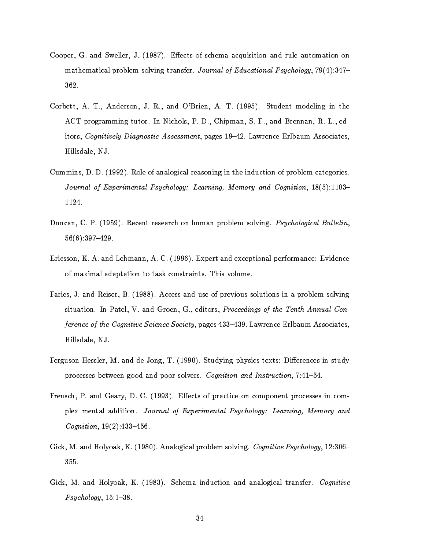- Cooper- G and Sweller- J Eects of schema acquisition and rule automation on mathematical problems of Education Journal of Education Company of Psychology- Psychology-362.
- , and one can be a the correct model in the correct of the correct model in the correct of the correct of the c ACT programming tutor In Nichols- P D- Chipman- S F- and Brennan- R L- ed itors- Cognitively Diagnostic Assessment- pages # Lawrence Erlbaum Associates-Hillsdale- NJ
- Cummins- D D  Role of analogical reasoning in the induction of problem categories Journal of Experimental Psychology Learning- Memory and Cognition- #
- duncan-bulletin-bulletin-bulletin-bulletin-bulletin-bulletin-bulletin-bulletin-bulletin-bulletin-bulletin-bull  $56(6):397-429.$
- Ericsson- K A and Lehmann- A C Expert and exceptional performance Evidence of maximal adaptation to task constraints This volume
- Faries- J and Reiser- B Access and use of previous solutions in a problem solving situation In Patel- V and Groen- G- editors- Proceedings of the Tenth Annual Con ference of the Cognitive Science Society- pages # Lawrence Erlbaum Associates-Hillsdale- NJ
- Ferguson Hessler- M and de Jong- T Studying physics texts Dierences in study processes between good and poor solvers Cognition and Instruction- #
- Frensch- P and Geary- D C Eects of practice on component processes in com periodic mental addition and Journal of Experimental Psychology Learning- Memory and Memory Learning- $\blacksquare$  . The contract of the contract of the contract of the contract of the contract of the contract of the contract of the contract of the contract of the contract of the contract of the contract of the contract of the
- Gick- M and Holyoak- K Analogical problem solving Cognitive Psychology- # 355.
- Gives and Holyoak, and the Mandale transfer compared transfer Communities and analogical transfer Communities Psychology and the system of the system of the system of the system of the system of the system of the system of the system of the system of the system of the system of the system of the system of the system of the system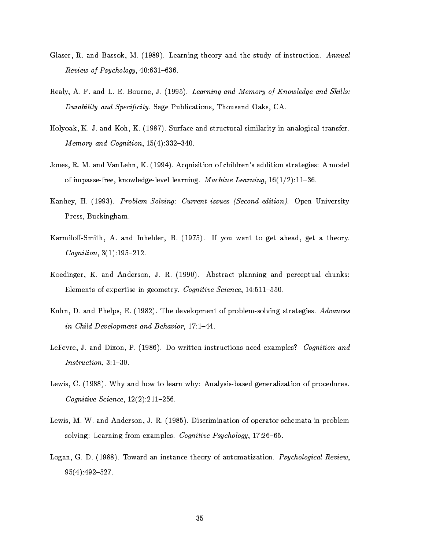- Glasser R and Bassock, Service and the study of instruction and the study of instruction and the study of Review of Psychology- #
- a far a f and L E Bourne- In the Memory of Line and Memory and Skiller and Skiller and Skiller and Skiller and Durability and Speci city Sage Publications- Thousand Oaks- CA
- in and the structure and structure and the structure and structure in an analogical transfer and the structure Memory and Cognition- #
- Jones- R M and VanLehn- K Acquisition of childrens addition strategies A model of impact in the contract learning-term and the contract learning-term and the contract learning-term and the c
- Kanhey- H Problem Solving Current issues Second edition Open University Press- Buckingham
- Karmilo Smith- A and Inhelder- B If you want to get ahead- get a theory Cognition- #
- Koedinger- K and Anderson- J R Abstract planning and perceptual chunks  $\mathbf{E}$  is a contract of experimental contract of experimental contract of experimental contract of experimental contract of  $\mathbf{E}$
- Kuhn- D and Phelps- E  The development of problem solving strategies Advances in Child Development and Behavior- #
- LeFevre- J and Dixon- P Do written instructions need examples Cognition and Instruction- #
- community and how to learn why and the community and how to allow the procedures of the community of  $\mathbb{R}^n$ Cognitive Science-  #
- Lewis- M W and Anderson- J R Discrimination of operator schemata in problem solving learning from examples controlled the communities of the controlled particles of the controlled particles of the controlled particles of the controlled particles of the controlled particles of the controlled partic
- Logan- G D Toward an instance theory of automatization Psychological Review- $95(4):492 - 527.$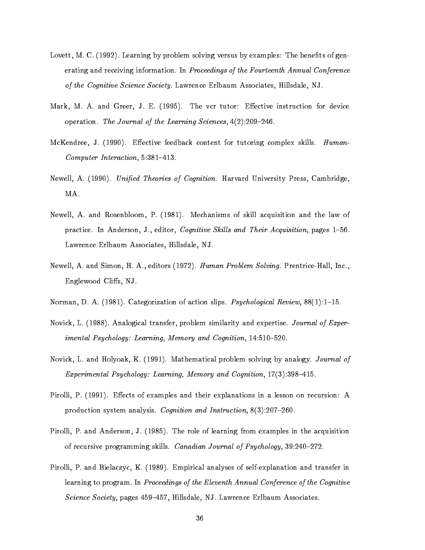- arrest compared the common state of the benefit of the benefit of the benefit  $\alpha$  general  $\alpha$ erating and receiving information. In Proceedings of the Fourteenth Annual Conference of the Cognitive Science Society Lawrence Erlbaum Associates- Hillsdale- NJ
- Mark- M A and Greer- J E The vcr tutor Eective instruction for device operation  $\mathcal{A}$  . The Journal of the Journal of the Learning Sciences-Learning Sciences-Learning Sciences-Learning Sciences-
- active feedback feedback content for the form of the state state state of the state of the state of the state o Computer Interaction- #
- Newell- A Uni ed Theories of Cognition Harvard University Press- Cambridge-MA.
- Newell- A and Rosenbloom- P Mechanisms of skill acquisition and the law of practice In Anderson- J- editor- Cognitive Skil ls and Their Acquisition- pages # Lawrence Erlbaum Associates- Hillsdale- NJ
- Newell- A and Simon- H A- editors  Human Problem Solving Prentrice Hall- Inc-Englewood Clis- NJ
- Norman- D A Categorization of action slips Psychological Review- #
- Novick- L Analogical transfer- problem similarity and expertise Journal of Exper imental Psychology Learning- Memory and Cognition- #
- Novick- L and Holyoak- K Mathematical problem solving by analogy Journal of Experimental Psychology Learning- Memory and Cognition- #
- Pirolli- P Eects of examples and their explanations in a lesson on recursion A production system analysis Cognition and Instruction-Cognition-Cognition-
- Pirolli- P and Anderson- J The role of learning from examples in the acquisition of recursive programming skills Canadian Journal of Psychology- #
- , and Bielaczyc-Americal and transfer in the self-explanation and transfer in the self-explanation and transfer learning to program. In Proceedings of the Eleventh Annual Conference of the Cognitive Science Society- pages 
#
- Hillsdale- NJ Lawrence Erlbaum Associates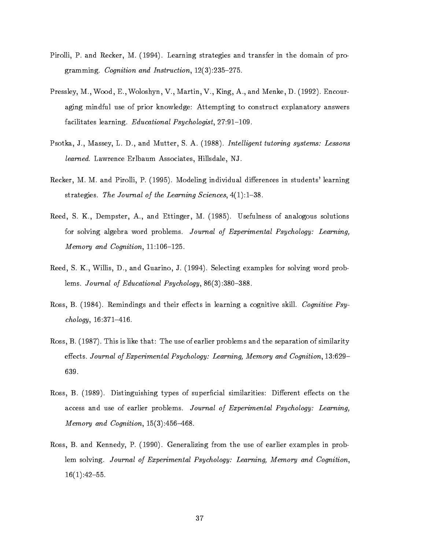- Pirolli- P and Recker- M Learning strategies and transfer in the domain of pro gramming Cognition and Instruction- 
#
- Pressley- M- Wood- E- Woloshyn- V- Martin- V- King- A- and Menke- D  Encour aging mindful use of prior knowledge: Attempting to construct explanatory answers facilitates learning Educational Psychologist-  #
- Psotka- J- Massey- L D- and Mutter- S A Intel ligent tutoring systems Lessons learned Lawrence Erlbaum Associates- Hillsdale- NJ
- Recker- M M and Pirolli- P Modeling individual dierences in students learning strategies – the Journal of the Learning Sciences-Agept – the
- Reed- S K- Dempster- A- and Ettinger- M Usefulness of analogous solutions for solving algebra word problems. Journal of Experimental Psychology: Learning, Memory and Cognition- #
- Reed- S K- Willis- D- and Guarino- J Selecting examples for solving word prob lems Journal of Educational Psychology- #
- Ross- B Remindings and their eects in learning a cognitive skill Cognitive Psy chology and the chology of the chology of the chology of the chology of the chology of the chology of the chology of the chology of the chology of the chology of the chology of the chology of the chology of the chology of
- ross-comments is like that The Use of earlier problems and the separation of similarity of similarity of similar  $\mathcal{S}$ eects Journal of Experimental Psychology Learning- Memory and Cognition- # 639.
- Ross- B Distinguishing types of supercial similarities Dierent eects on the access and use of earlier problems. Journal of Experimental Psychology: Learning, Memory and Cognition- #
- ross- en and the use of earlier the use of earlier examples in problem and the use of earlier examples in proble lem solving Journal of Experimental Psychology Learning- Memory and Cognition-#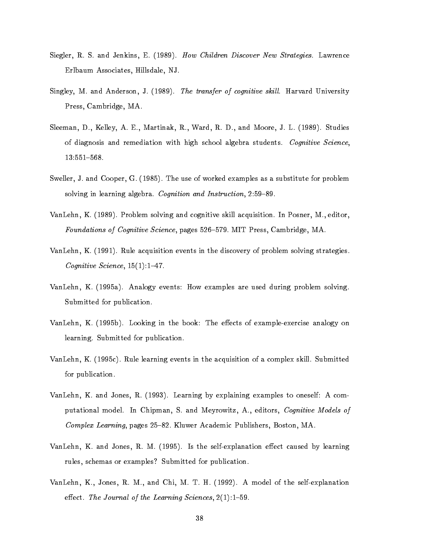- siegies, wo c'hom vermanet wet how of twee territorie were arren discover warren were diel erlands associates and the second state of the second state of the second state of the second state of the second state of the second state of the second state of the second state of the second state of the second state of
- singley, we and the transfer of the transfer of cognitive skilled the transfer of  $\sim$ Press- Cambridge- MA
- Sleeman- D- Kelley- A E- Martinak- R- Ward- R D- and Moore- J L Studies of diagnosis and remediation with high school algebra students. Cognitive Science.
- Sweller- J and Cooper- G The use of worked examples as a substitute for problem solving in learning algebra  $\mathcal{L}$  . The instruction and Instruction-Instruction-Instruction-Instruction-Instruction-Instruction-Instruction-Instruction-Instruction-Instruction-Instruction-Instruction-Instruction-Instru
- VanLehn- K Problem solving and cognitive skill acquisition In Posner- M- editor-Foundations of Cognitive Science- pages 
#
 MIT Press- Cambridge- MA
- VanLehn- K Rule acquisition events in the discovery of problem solving strategies Cognitive Science- #
- VanLehn- K a Analogy events How examples are used during problem solving Submitted for publication
- $\mathcal{E}$  and the book The example in the example  $\mathcal{E}$  in the example  $\mathcal{E}$  and  $\mathcal{E}$ learning. Submitted for publication.
- VanLehn- K c Rule learning events in the acquisition of a complex skill Submitted for publication
- , was a common contract to the state of the second and the problem are common to one and the state of the state of the state of the state of the state of the state of the state of the state of the state of the state of the patational models of component of models of forming and there are provided and models of  $\mathcal{C}_i$ Complex Learning- pages 
# Kluwer Academic Publishers- Boston- MA
- , which is the self-extracted by learning by learning and the self-extracted by learning and the self-extracted by learning and the self-extracted by learning and the self-extracted by learning and the self-extracted by le rules-schemas or examples Submitted for publications or examples Submitted for publications of publications of
- , was constructed to self and compare the self-control of the self-control of the self-control of the self-control eect The Journal of the Journal of the Journal of the Learning Sciences-Based on the Learning Sciences-Based o